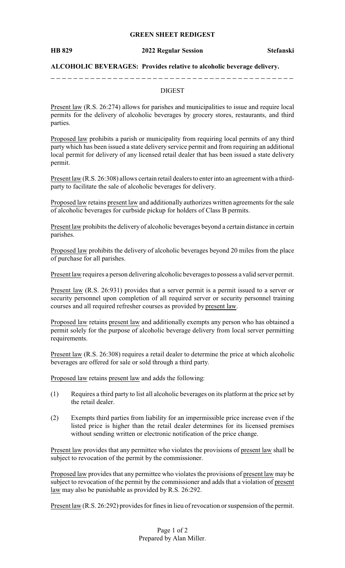## **GREEN SHEET REDIGEST**

### **HB 829 2022 Regular Session Stefanski**

## **ALCOHOLIC BEVERAGES: Provides relative to alcoholic beverage delivery.**

## DIGEST

Present law (R.S. 26:274) allows for parishes and municipalities to issue and require local permits for the delivery of alcoholic beverages by grocery stores, restaurants, and third parties.

Proposed law prohibits a parish or municipality from requiring local permits of any third party which has been issued a state delivery service permit and from requiring an additional local permit for delivery of any licensed retail dealer that has been issued a state delivery permit.

Present law (R.S. 26:308) allows certain retail dealers to enter into an agreement with a thirdparty to facilitate the sale of alcoholic beverages for delivery.

Proposed law retains present law and additionally authorizes written agreements for the sale of alcoholic beverages for curbside pickup for holders of Class B permits.

Present law prohibits the delivery of alcoholic beverages beyond a certain distance in certain parishes.

Proposed law prohibits the delivery of alcoholic beverages beyond 20 miles from the place of purchase for all parishes.

Present law requires a person delivering alcoholic beverages to possess a valid server permit.

Present law (R.S. 26:931) provides that a server permit is a permit issued to a server or security personnel upon completion of all required server or security personnel training courses and all required refresher courses as provided by present law.

Proposed law retains present law and additionally exempts any person who has obtained a permit solely for the purpose of alcoholic beverage delivery from local server permitting requirements.

Present law (R.S. 26:308) requires a retail dealer to determine the price at which alcoholic beverages are offered for sale or sold through a third party.

Proposed law retains present law and adds the following:

- (1) Requires a third party to list all alcoholic beverages on its platform at the price set by the retail dealer.
- (2) Exempts third parties from liability for an impermissible price increase even if the listed price is higher than the retail dealer determines for its licensed premises without sending written or electronic notification of the price change.

Present law provides that any permittee who violates the provisions of present law shall be subject to revocation of the permit by the commissioner.

Proposed law provides that any permittee who violates the provisions of present law may be subject to revocation of the permit by the commissioner and adds that a violation of present law may also be punishable as provided by R.S. 26:292.

Present law (R.S. 26:292) provides for fines in lieu of revocation or suspension of the permit.